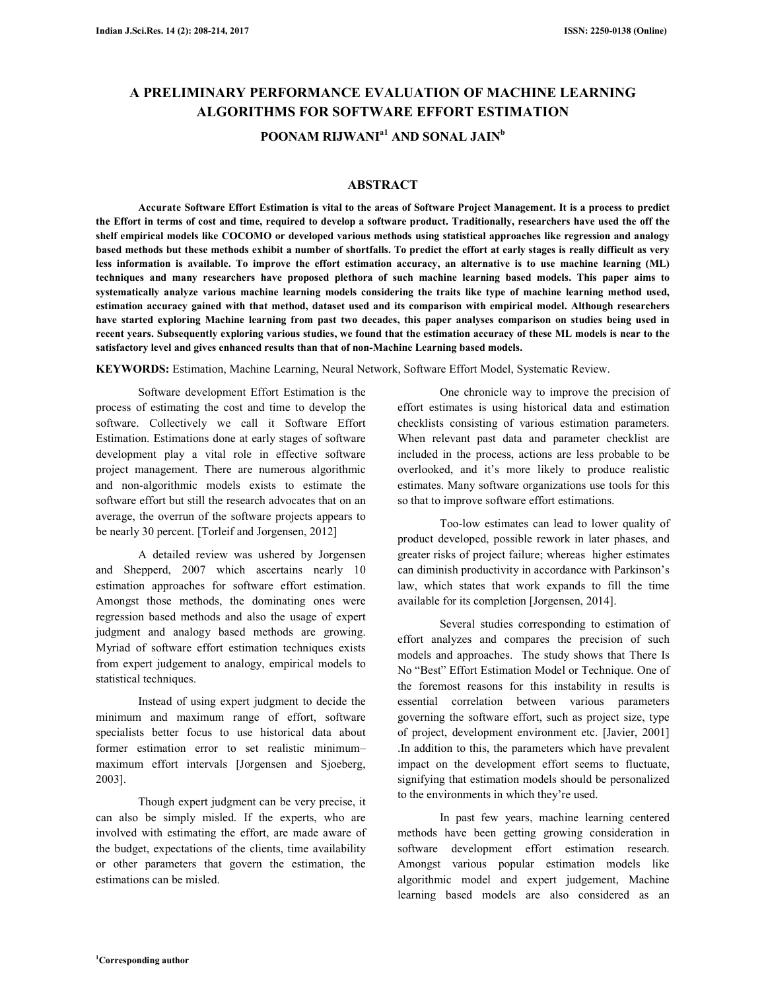# **A PRELIMINARY PERFORMANCE EVALUATION OF MACHINE LEARNING ALGORITHMS FOR SOFTWARE EFFORT ESTIMATION**

### **POONAM RIJWANIa1 AND SONAL JAIN<sup>b</sup>**

### **ABSTRACT**

 **Accurate Software Effort Estimation is vital to the areas of Software Project Management. It is a process to predict the Effort in terms of cost and time, required to develop a software product. Traditionally, researchers have used the off the shelf empirical models like COCOMO or developed various methods using statistical approaches like regression and analogy based methods but these methods exhibit a number of shortfalls. To predict the effort at early stages is really difficult as very less information is available. To improve the effort estimation accuracy, an alternative is to use machine learning (ML) techniques and many researchers have proposed plethora of such machine learning based models. This paper aims to systematically analyze various machine learning models considering the traits like type of machine learning method used, estimation accuracy gained with that method, dataset used and its comparison with empirical model. Although researchers have started exploring Machine learning from past two decades, this paper analyses comparison on studies being used in recent years. Subsequently exploring various studies, we found that the estimation accuracy of these ML models is near to the satisfactory level and gives enhanced results than that of non-Machine Learning based models.** 

**KEYWORDS:** Estimation, Machine Learning, Neural Network, Software Effort Model, Systematic Review.

 Software development Effort Estimation is the process of estimating the cost and time to develop the software. Collectively we call it Software Effort Estimation. Estimations done at early stages of software development play a vital role in effective software project management. There are numerous algorithmic and non-algorithmic models exists to estimate the software effort but still the research advocates that on an average, the overrun of the software projects appears to be nearly 30 percent. [Torleif and Jorgensen, 2012]

 A detailed review was ushered by Jorgensen and Shepperd, 2007 which ascertains nearly 10 estimation approaches for software effort estimation. Amongst those methods, the dominating ones were regression based methods and also the usage of expert judgment and analogy based methods are growing. Myriad of software effort estimation techniques exists from expert judgement to analogy, empirical models to statistical techniques.

 Instead of using expert judgment to decide the minimum and maximum range of effort, software specialists better focus to use historical data about former estimation error to set realistic minimum– maximum effort intervals [Jorgensen and Sjoeberg, 2003].

 Though expert judgment can be very precise, it can also be simply misled. If the experts, who are involved with estimating the effort, are made aware of the budget, expectations of the clients, time availability or other parameters that govern the estimation, the estimations can be misled.

 One chronicle way to improve the precision of effort estimates is using historical data and estimation checklists consisting of various estimation parameters. When relevant past data and parameter checklist are included in the process, actions are less probable to be overlooked, and it's more likely to produce realistic estimates. Many software organizations use tools for this so that to improve software effort estimations.

 Too-low estimates can lead to lower quality of product developed, possible rework in later phases, and greater risks of project failure; whereas higher estimates can diminish productivity in accordance with Parkinson's law, which states that work expands to fill the time available for its completion [Jorgensen, 2014].

 Several studies corresponding to estimation of effort analyzes and compares the precision of such models and approaches. The study shows that There Is No "Best" Effort Estimation Model or Technique. One of the foremost reasons for this instability in results is essential correlation between various parameters governing the software effort, such as project size, type of project, development environment etc. [Javier, 2001] .In addition to this, the parameters which have prevalent impact on the development effort seems to fluctuate, signifying that estimation models should be personalized to the environments in which they're used.

 In past few years, machine learning centered methods have been getting growing consideration in software development effort estimation research. Amongst various popular estimation models like algorithmic model and expert judgement, Machine learning based models are also considered as an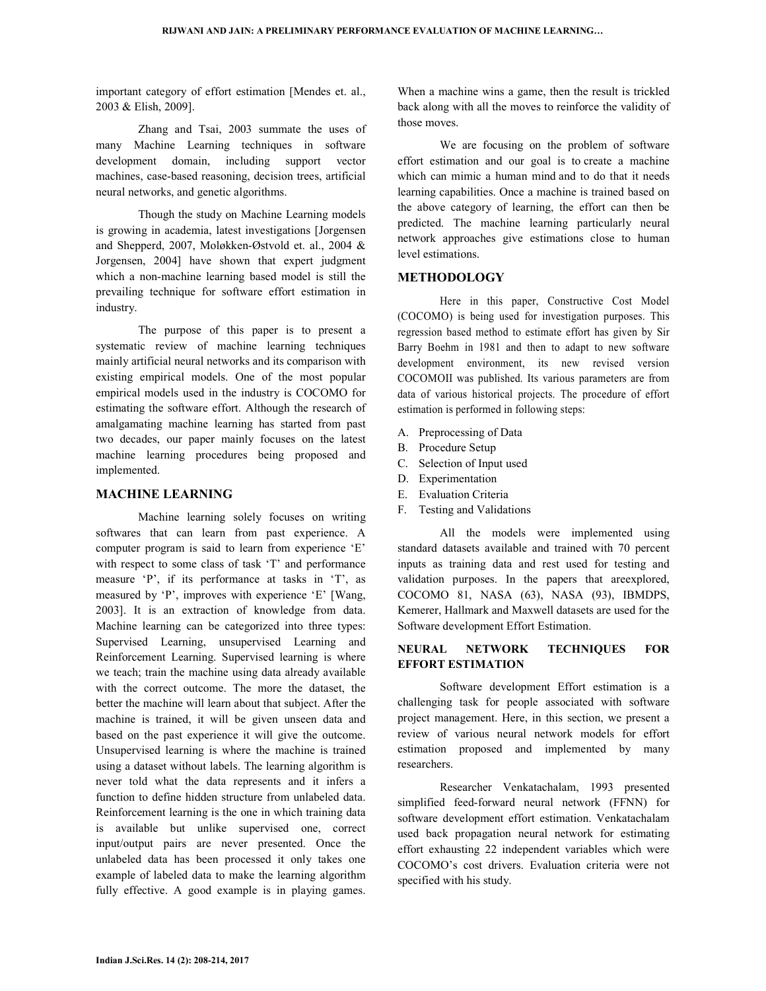important category of effort estimation [Mendes et. al., 2003 & Elish, 2009].

 Zhang and Tsai, 2003 summate the uses of many Machine Learning techniques in software development domain, including support vector machines, case-based reasoning, decision trees, artificial neural networks, and genetic algorithms.

 Though the study on Machine Learning models is growing in academia, latest investigations [Jorgensen and Shepperd, 2007, Moløkken-Østvold et. al., 2004 & Jorgensen, 2004] have shown that expert judgment which a non-machine learning based model is still the prevailing technique for software effort estimation in industry.

 The purpose of this paper is to present a systematic review of machine learning techniques mainly artificial neural networks and its comparison with existing empirical models. One of the most popular empirical models used in the industry is COCOMO for estimating the software effort. Although the research of amalgamating machine learning has started from past two decades, our paper mainly focuses on the latest machine learning procedures being proposed and implemented.

#### **MACHINE LEARNING**

 Machine learning solely focuses on writing softwares that can learn from past experience. A computer program is said to learn from experience 'E' with respect to some class of task 'T' and performance measure 'P', if its performance at tasks in 'T', as measured by 'P', improves with experience 'E' [Wang, 2003]. It is an extraction of knowledge from data. Machine learning can be categorized into three types: Supervised Learning, unsupervised Learning and Reinforcement Learning. Supervised learning is where we teach; train the machine using data already available with the correct outcome. The more the dataset, the better the machine will learn about that subject. After the machine is trained, it will be given unseen data and based on the past experience it will give the outcome. Unsupervised learning is where the machine is trained using a dataset without labels. The learning algorithm is never told what the data represents and it infers a function to define hidden structure from unlabeled data. Reinforcement learning is the one in which training data is available but unlike supervised one, correct input/output pairs are never presented. Once the unlabeled data has been processed it only takes one example of labeled data to make the learning algorithm fully effective. A good example is in playing games.

When a machine wins a game, then the result is trickled back along with all the moves to reinforce the validity of those moves.

 We are focusing on the problem of software effort estimation and our goal is to create a machine which can mimic a human mind and to do that it needs learning capabilities. Once a machine is trained based on the above category of learning, the effort can then be predicted. The machine learning particularly neural network approaches give estimations close to human level estimations.

# **METHODOLOGY**

 Here in this paper, Constructive Cost Model (COCOMO) is being used for investigation purposes. This regression based method to estimate effort has given by Sir Barry Boehm in 1981 and then to adapt to new software development environment, its new revised version COCOMOII was published. Its various parameters are from data of various historical projects. The procedure of effort estimation is performed in following steps:

- A. Preprocessing of Data
- B. Procedure Setup
- C. Selection of Input used
- D. Experimentation
- E. Evaluation Criteria
- F. Testing and Validations

 All the models were implemented using standard datasets available and trained with 70 percent inputs as training data and rest used for testing and validation purposes. In the papers that areexplored, COCOMO 81, NASA (63), NASA (93), IBMDPS, Kemerer, Hallmark and Maxwell datasets are used for the Software development Effort Estimation.

# **NEURAL NETWORK TECHNIQUES FOR EFFORT ESTIMATION**

 Software development Effort estimation is a challenging task for people associated with software project management. Here, in this section, we present a review of various neural network models for effort estimation proposed and implemented by many researchers.

 Researcher Venkatachalam, 1993 presented simplified feed-forward neural network (FFNN) for software development effort estimation. Venkatachalam used back propagation neural network for estimating effort exhausting 22 independent variables which were COCOMO's cost drivers. Evaluation criteria were not specified with his study.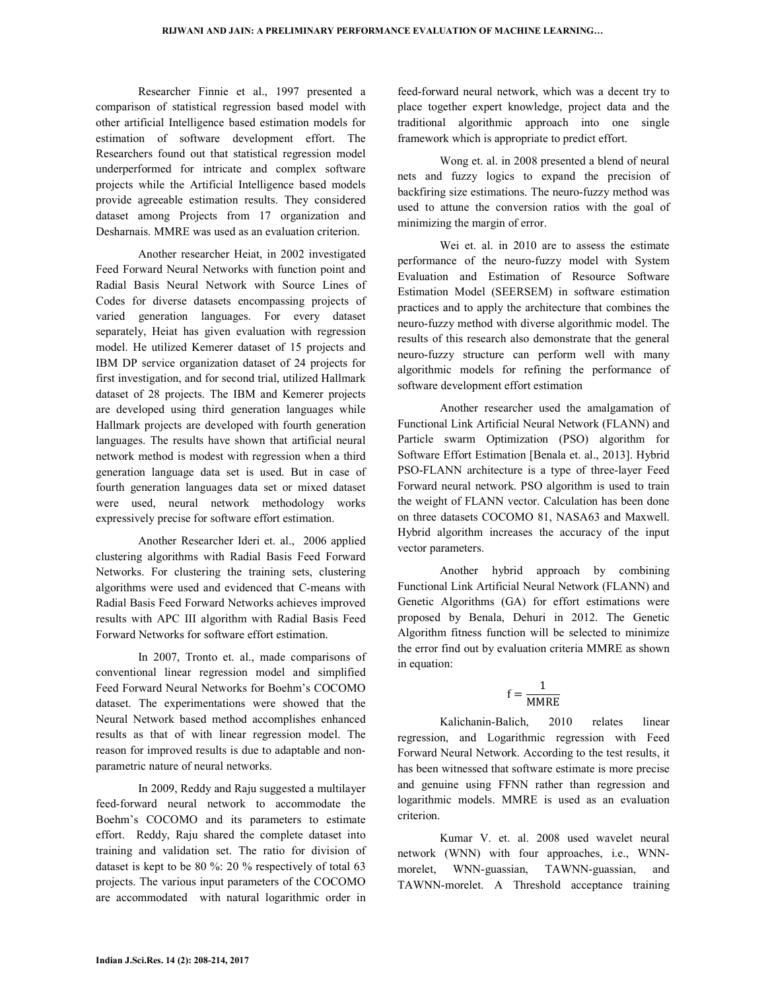Researcher Finnie et al., 1997 presented a comparison of statistical regression based model with other artificial Intelligence based estimation models for estimation of software development effort. The Researchers found out that statistical regression model underperformed for intricate and complex software projects while the Artificial Intelligence based models provide agreeable estimation results. They considered dataset among Projects from 17 organization and Desharnais. MMRE was used as an evaluation criterion.

 Another researcher Heiat, in 2002 investigated Feed Forward Neural Networks with function point and Radial Basis Neural Network with Source Lines of Codes for diverse datasets encompassing projects of varied generation languages. For every dataset separately, Heiat has given evaluation with regression model. He utilized Kemerer dataset of 15 projects and IBM DP service organization dataset of 24 projects for first investigation, and for second trial, utilized Hallmark dataset of 28 projects. The IBM and Kemerer projects are developed using third generation languages while Hallmark projects are developed with fourth generation languages. The results have shown that artificial neural network method is modest with regression when a third generation language data set is used. But in case of fourth generation languages data set or mixed dataset were used, neural network methodology works expressively precise for software effort estimation.

 Another Researcher Ideri et. al., 2006 applied clustering algorithms with Radial Basis Feed Forward Networks. For clustering the training sets, clustering algorithms were used and evidenced that C-means with Radial Basis Feed Forward Networks achieves improved results with APC III algorithm with Radial Basis Feed Forward Networks for software effort estimation.

 In 2007, Tronto et. al., made comparisons of conventional linear regression model and simplified Feed Forward Neural Networks for Boehm's COCOMO dataset. The experimentations were showed that the Neural Network based method accomplishes enhanced results as that of with linear regression model. The reason for improved results is due to adaptable and nonparametric nature of neural networks.

 In 2009, Reddy and Raju suggested a multilayer feed-forward neural network to accommodate the Boehm's COCOMO and its parameters to estimate effort. Reddy, Raju shared the complete dataset into training and validation set. The ratio for division of dataset is kept to be 80 %: 20 % respectively of total 63 projects. The various input parameters of the COCOMO are accommodated with natural logarithmic order in

feed-forward neural network, which was a decent try to place together expert knowledge, project data and the traditional algorithmic approach into one single framework which is appropriate to predict effort.

 Wong et. al. in 2008 presented a blend of neural nets and fuzzy logics to expand the precision of backfiring size estimations. The neuro-fuzzy method was used to attune the conversion ratios with the goal of minimizing the margin of error.

 Wei et. al. in 2010 are to assess the estimate performance of the neuro-fuzzy model with System Evaluation and Estimation of Resource Software Estimation Model (SEERSEM) in software estimation practices and to apply the architecture that combines the neuro-fuzzy method with diverse algorithmic model. The results of this research also demonstrate that the general neuro-fuzzy structure can perform well with many algorithmic models for refining the performance of software development effort estimation

 Another researcher used the amalgamation of Functional Link Artificial Neural Network (FLANN) and Particle swarm Optimization (PSO) algorithm for Software Effort Estimation [Benala et. al., 2013]. Hybrid PSO-FLANN architecture is a type of three-layer Feed Forward neural network. PSO algorithm is used to train the weight of FLANN vector. Calculation has been done on three datasets COCOMO 81, NASA63 and Maxwell. Hybrid algorithm increases the accuracy of the input vector parameters.

 Another hybrid approach by combining Functional Link Artificial Neural Network (FLANN) and Genetic Algorithms (GA) for effort estimations were proposed by Benala, Dehuri in 2012. The Genetic Algorithm fitness function will be selected to minimize the error find out by evaluation criteria MMRE as shown in equation:

$$
f=\frac{1}{\text{MMRE}}
$$

 Kalichanin-Balich, 2010 relates linear regression, and Logarithmic regression with Feed Forward Neural Network. According to the test results, it has been witnessed that software estimate is more precise and genuine using FFNN rather than regression and logarithmic models. MMRE is used as an evaluation criterion.

 Kumar V. et. al. 2008 used wavelet neural network (WNN) with four approaches, i.e., WNNmorelet, WNN-guassian, TAWNN-guassian, and TAWNN-morelet. A Threshold acceptance training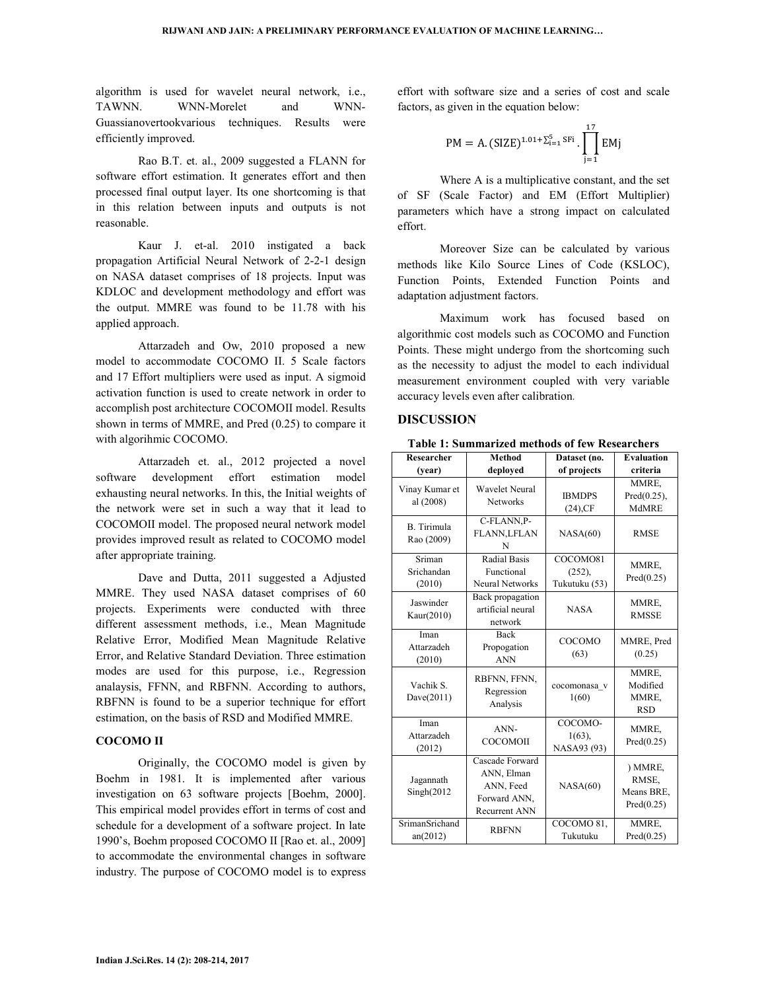algorithm is used for wavelet neural network, i.e., TAWNN. WNN-Morelet and WNN-Guassianovertookvarious techniques. Results were efficiently improved.

 Rao B.T. et. al., 2009 suggested a FLANN for software effort estimation. It generates effort and then processed final output layer. Its one shortcoming is that in this relation between inputs and outputs is not reasonable.

 Kaur J. et-al. 2010 instigated a back propagation Artificial Neural Network of 2-2-1 design on NASA dataset comprises of 18 projects. Input was KDLOC and development methodology and effort was the output. MMRE was found to be 11.78 with his applied approach.

 Attarzadeh and Ow, 2010 proposed a new model to accommodate COCOMO II. 5 Scale factors and 17 Effort multipliers were used as input. A sigmoid activation function is used to create network in order to accomplish post architecture COCOMOII model. Results shown in terms of MMRE, and Pred (0.25) to compare it with algorihmic COCOMO.

 Attarzadeh et. al., 2012 projected a novel software development effort estimation model exhausting neural networks. In this, the Initial weights of the network were set in such a way that it lead to COCOMOII model. The proposed neural network model provides improved result as related to COCOMO model after appropriate training.

 Dave and Dutta, 2011 suggested a Adjusted MMRE. They used NASA dataset comprises of 60 projects. Experiments were conducted with three different assessment methods, i.e., Mean Magnitude Relative Error, Modified Mean Magnitude Relative Error, and Relative Standard Deviation. Three estimation modes are used for this purpose, i.e., Regression analaysis, FFNN, and RBFNN. According to authors, RBFNN is found to be a superior technique for effort estimation, on the basis of RSD and Modified MMRE.

#### **COCOMO II**

 Originally, the COCOMO model is given by Boehm in 1981. It is implemented after various investigation on 63 software projects [Boehm, 2000]. This empirical model provides effort in terms of cost and schedule for a development of a software project. In late 1990's, Boehm proposed COCOMO II [Rao et. al., 2009] to accommodate the environmental changes in software industry. The purpose of COCOMO model is to express effort with software size and a series of cost and scale factors, as given in the equation below:

$$
PM = A. (SIZE)^{1.01 + \sum_{i=1}^{5} SFi} \cdot \prod_{j=1}^{17} EMj
$$

 Where A is a multiplicative constant, and the set of SF (Scale Factor) and EM (Effort Multiplier) parameters which have a strong impact on calculated effort.

 Moreover Size can be calculated by various methods like Kilo Source Lines of Code (KSLOC), Function Points, Extended Function Points and adaptation adjustment factors.

 Maximum work has focused based on algorithmic cost models such as COCOMO and Function Points. These might undergo from the shortcoming such as the necessity to adjust the model to each individual measurement environment coupled with very variable accuracy levels even after calibration.

### **DISCUSSION**

**Table 1: Summarized methods of few Researchers** 

| Researcher                        | <b>Method</b>                                                               | Dataset (no.                           | <b>Evaluation</b>                            |
|-----------------------------------|-----------------------------------------------------------------------------|----------------------------------------|----------------------------------------------|
| (year)                            | deployed                                                                    | of projects                            | criteria                                     |
| Vinay Kumar et<br>al (2008)       | <b>Wavelet Neural</b><br><b>Networks</b>                                    | <b>IBMDPS</b><br>$(24)$ ,CF            | MMRE,<br>$Pred(0.25)$ ,<br><b>MdMRE</b>      |
| <b>B.</b> Tirimula<br>Rao (2009)  | C-FLANN <sub>,P-</sub><br><b>FLANN,LFLAN</b><br>N                           | NASA(60)                               | <b>RMSE</b>                                  |
| Sriman<br>Srichandan<br>(2010)    | <b>Radial Basis</b><br>Functional<br><b>Neural Networks</b>                 | COCOMO81<br>$(252)$ ,<br>Tukutuku (53) | MMRE,<br>Pred(0.25)                          |
| Jaswinder<br>Kaur(2010)           | Back propagation<br>artificial neural<br>network                            | <b>NASA</b>                            | MMRE,<br><b>RMSSE</b>                        |
| Iman<br>Attarzadeh<br>(2010)      | <b>Back</b><br>Propogation<br><b>ANN</b>                                    | COCOMO<br>(63)                         | MMRE, Pred<br>(0.25)                         |
| Vachik S.<br>Dave(2011)           | RBFNN, FFNN,<br>Regression<br>Analysis                                      | cocomonasa v<br>1(60)                  | MMRE.<br>Modified<br>MMRE.<br><b>RSD</b>     |
| Iman<br>Attarzadeh<br>(2012)      | ANN-<br><b>COCOMOII</b>                                                     | COCOMO-<br>$1(63)$ ,<br>NASA93 (93)    | MMRE,<br>Pred(0.25)                          |
| Jagannath<br>Singh(2012)          | Cascade Forward<br>ANN, Elman<br>ANN, Feed<br>Forward ANN,<br>Recurrent ANN | NASA(60)                               | ) MMRE,<br>RMSE,<br>Means BRE,<br>Pred(0.25) |
| <b>SrimanSrichand</b><br>an(2012) | <b>RBFNN</b>                                                                | COCOMO 81,<br>Tukutuku                 | MMRE,<br>Pred(0.25)                          |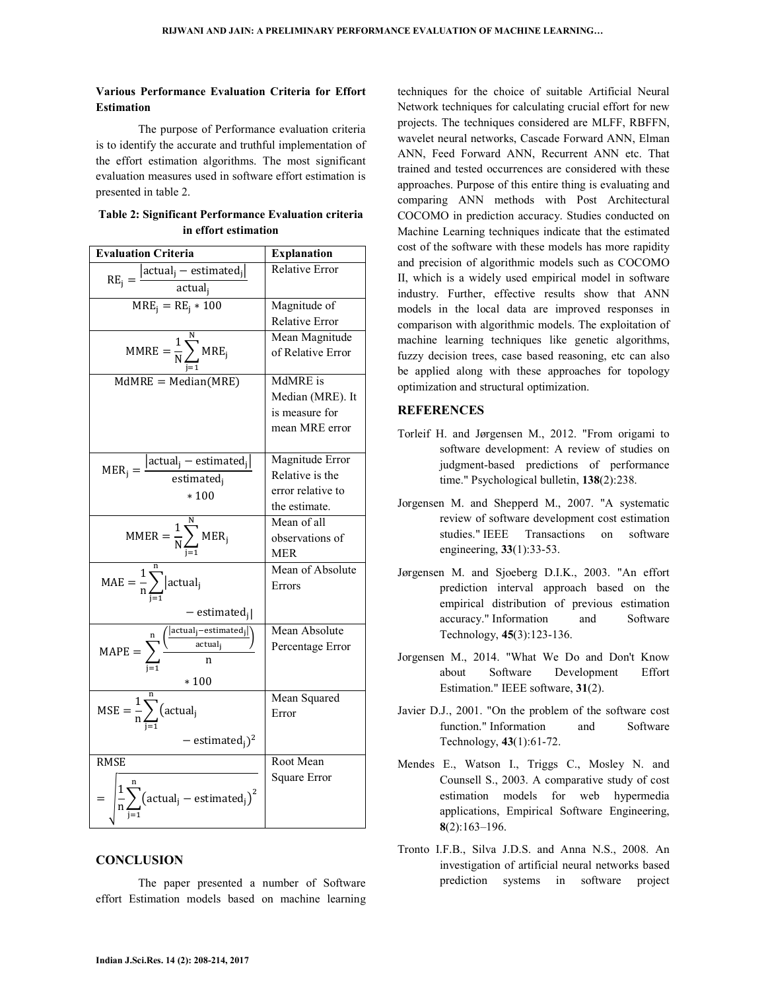### **Various Performance Evaluation Criteria for Effort Estimation**

 The purpose of Performance evaluation criteria is to identify the accurate and truthful implementation of the effort estimation algorithms. The most significant evaluation measures used in software effort estimation is presented in table 2.

| <b>Evaluation Criteria</b>                                                                                           | <b>Explanation</b>    |
|----------------------------------------------------------------------------------------------------------------------|-----------------------|
|                                                                                                                      | <b>Relative Error</b> |
| $RE_j = \frac{ \text{actual}_j - \text{estimated}_j }{\text{actual}_i}$                                              |                       |
| $MRE_j = RE_i * 100$                                                                                                 | Magnitude of          |
|                                                                                                                      | <b>Relative Error</b> |
|                                                                                                                      | Mean Magnitude        |
| $\text{MMRE} = \frac{1}{N} \sum_{i=1}^{N} \text{MRE}_{j}$                                                            | of Relative Error     |
| $MdMRE = Median(MRE)$                                                                                                | MdMRE is              |
|                                                                                                                      | Median (MRE). It      |
|                                                                                                                      | is measure for        |
|                                                                                                                      | mean MRE error        |
|                                                                                                                      | Magnitude Error       |
| $MER_j = \frac{ \text{actual}_j - \text{estimated}_j }{\text{estimated}_j}$                                          | Relative is the       |
| $*100$                                                                                                               | error relative to     |
|                                                                                                                      | the estimate.         |
|                                                                                                                      | Mean of all           |
| $MMER = \frac{1}{N} \sum_{i=1}^{N} MER_i$                                                                            | observations of       |
|                                                                                                                      | <b>MER</b>            |
|                                                                                                                      | Mean of Absolute      |
| $MAE = \frac{1}{n} \sum_{i=1}^{n}  actual_{j}$                                                                       | Errors                |
| – estimated <sub>i</sub>                                                                                             |                       |
| $\text{MAPE} = \sum_{i=1}^{n} \frac{\left(\frac{ \text{actual}_j - \text{estimated}_j }{\text{actual}_j}\right)}{n}$ | Mean Absolute         |
|                                                                                                                      | Percentage Error      |
|                                                                                                                      |                       |
| $*100$                                                                                                               |                       |
|                                                                                                                      | Mean Squared          |
| $MSE = \frac{1}{n} \sum_{i=1}^{n} (actual_i)$                                                                        | Error                 |
| $-$ estimated <sub>i</sub> $)^2$                                                                                     |                       |
| <b>RMSE</b>                                                                                                          | Root Mean             |
|                                                                                                                      | Square Error          |
| $=\int_{0}^{\frac{1}{n}}\prod_{j=1}^{n}(actual_j - estimated_j)^2$                                                   |                       |

|                      | Table 2: Significant Performance Evaluation criteria |  |
|----------------------|------------------------------------------------------|--|
| in effort estimation |                                                      |  |

### **CONCLUSION**

 The paper presented a number of Software effort Estimation models based on machine learning

techniques for the choice of suitable Artificial Neural Network techniques for calculating crucial effort for new projects. The techniques considered are MLFF, RBFFN, wavelet neural networks, Cascade Forward ANN, Elman ANN, Feed Forward ANN, Recurrent ANN etc. That trained and tested occurrences are considered with these approaches. Purpose of this entire thing is evaluating and comparing ANN methods with Post Architectural COCOMO in prediction accuracy. Studies conducted on Machine Learning techniques indicate that the estimated cost of the software with these models has more rapidity and precision of algorithmic models such as COCOMO II, which is a widely used empirical model in software industry. Further, effective results show that ANN models in the local data are improved responses in comparison with algorithmic models. The exploitation of machine learning techniques like genetic algorithms, fuzzy decision trees, case based reasoning, etc can also be applied along with these approaches for topology optimization and structural optimization.

### **REFERENCES**

- Torleif H. and Jørgensen M., 2012. "From origami to software development: A review of studies on judgment-based predictions of performance time." Psychological bulletin, **138**(2):238.
- Jorgensen M. and Shepperd M., 2007. "A systematic review of software development cost estimation studies." IEEE Transactions on software engineering, **33**(1):33-53.
- Jørgensen M. and Sjoeberg D.I.K., 2003. "An effort prediction interval approach based on the empirical distribution of previous estimation accuracy." Information and Software Technology, **45**(3):123-136.
- Jorgensen M., 2014. "What We Do and Don't Know about Software Development Effort Estimation." IEEE software, **31**(2).
- Javier D.J., 2001. "On the problem of the software cost function." Information and Software Technology, **43**(1):61-72.
- Mendes E., Watson I., Triggs C., Mosley N. and Counsell S., 2003. A comparative study of cost estimation models for web hypermedia applications, Empirical Software Engineering, **8**(2):163–196.
- Tronto I.F.B., Silva J.D.S. and Anna N.S., 2008. An investigation of artificial neural networks based prediction systems in software project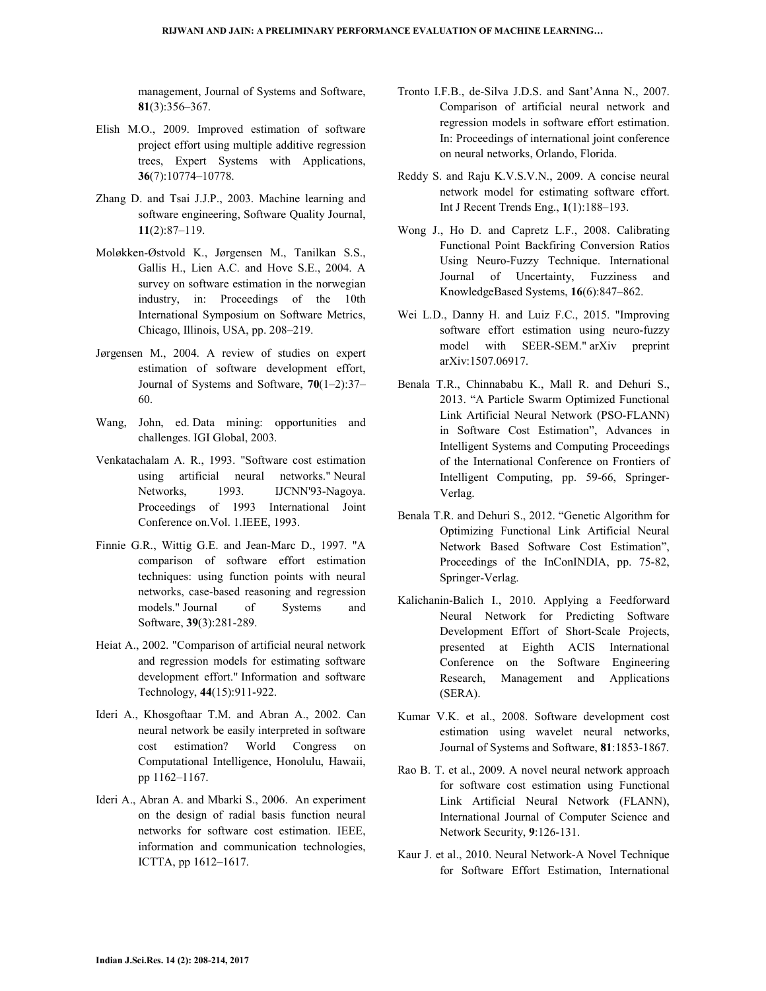management, Journal of Systems and Software, **81**(3):356–367.

- Elish M.O., 2009. Improved estimation of software project effort using multiple additive regression trees, Expert Systems with Applications, **36**(7):10774–10778.
- Zhang D. and Tsai J.J.P., 2003. Machine learning and software engineering, Software Quality Journal, **11**(2):87–119.
- Moløkken-Østvold K., Jørgensen M., Tanilkan S.S., Gallis H., Lien A.C. and Hove S.E., 2004. A survey on software estimation in the norwegian industry, in: Proceedings of the 10th International Symposium on Software Metrics, Chicago, Illinois, USA, pp. 208–219.
- Jørgensen M., 2004. A review of studies on expert estimation of software development effort, Journal of Systems and Software, **70**(1–2):37– 60.
- Wang, John, ed. Data mining: opportunities and challenges. IGI Global, 2003.
- Venkatachalam A. R., 1993. "Software cost estimation using artificial neural networks." Neural Networks, 1993. IJCNN'93-Nagoya. Proceedings of 1993 International Joint Conference on.Vol. 1.IEEE, 1993.
- Finnie G.R., Wittig G.E. and Jean-Marc D., 1997. "A comparison of software effort estimation techniques: using function points with neural networks, case-based reasoning and regression models." Journal of Systems and Software, **39**(3):281-289.
- Heiat A., 2002. "Comparison of artificial neural network and regression models for estimating software development effort." Information and software Technology, **44**(15):911-922.
- Ideri A., Khosgoftaar T.M. and Abran A., 2002. Can neural network be easily interpreted in software cost estimation? World Congress on Computational Intelligence, Honolulu, Hawaii, pp 1162–1167.
- Ideri A., Abran A. and Mbarki S., 2006. An experiment on the design of radial basis function neural networks for software cost estimation. IEEE, information and communication technologies, ICTTA, pp 1612–1617.
- Tronto I.F.B., de-Silva J.D.S. and Sant'Anna N., 2007. Comparison of artificial neural network and regression models in software effort estimation. In: Proceedings of international joint conference on neural networks, Orlando, Florida.
- Reddy S. and Raju K.V.S.V.N., 2009. A concise neural network model for estimating software effort. Int J Recent Trends Eng., **1**(1):188–193.
- Wong J., Ho D. and Capretz L.F., 2008. Calibrating Functional Point Backfiring Conversion Ratios Using Neuro-Fuzzy Technique. International Journal of Uncertainty, Fuzziness and KnowledgeBased Systems, **16**(6):847–862.
- Wei L.D., Danny H. and Luiz F.C., 2015. "Improving software effort estimation using neuro-fuzzy model with SEER-SEM." arXiv preprint arXiv:1507.06917.
- Benala T.R., Chinnababu K., Mall R. and Dehuri S., 2013. "A Particle Swarm Optimized Functional Link Artificial Neural Network (PSO-FLANN) in Software Cost Estimation", Advances in Intelligent Systems and Computing Proceedings of the International Conference on Frontiers of Intelligent Computing, pp. 59-66, Springer-Verlag.
- Benala T.R. and Dehuri S., 2012. "Genetic Algorithm for Optimizing Functional Link Artificial Neural Network Based Software Cost Estimation", Proceedings of the InConINDIA, pp. 75-82, Springer-Verlag.
- Kalichanin-Balich I., 2010. Applying a Feedforward Neural Network for Predicting Software Development Effort of Short-Scale Projects, presented at Eighth ACIS International Conference on the Software Engineering Research, Management and Applications (SERA).
- Kumar V.K. et al., 2008. Software development cost estimation using wavelet neural networks, Journal of Systems and Software, **81**:1853-1867.
- Rao B. T. et al., 2009. A novel neural network approach for software cost estimation using Functional Link Artificial Neural Network (FLANN), International Journal of Computer Science and Network Security, **9**:126-131.
- Kaur J. et al., 2010. Neural Network-A Novel Technique for Software Effort Estimation, International